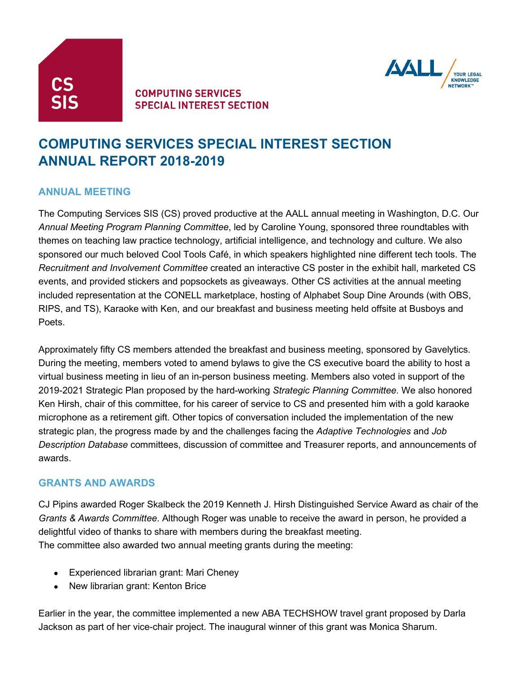



## **COMPUTING SERVICES SPECIAL INTEREST SECTION**

# **COMPUTING SERVICES SPECIAL INTEREST SECTION ANNUAL REPORT 2018-2019**

## **ANNUAL MEETING**

The Computing Services SIS (CS) proved productive at the AALL annual meeting in Washington, D.C. Our *Annual Meeting Program Planning Committee*, led by Caroline Young, sponsored three roundtables with themes on teaching law practice technology, artificial intelligence, and technology and culture. We also sponsored our much beloved Cool Tools Café, in which speakers highlighted nine different tech tools. The *Recruitment and Involvement Committee* created an interactive CS poster in the exhibit hall, marketed CS events, and provided stickers and popsockets as giveaways. Other CS activities at the annual meeting included representation at the CONELL marketplace, hosting of Alphabet Soup Dine Arounds (with OBS, RIPS, and TS), Karaoke with Ken, and our breakfast and business meeting held offsite at Busboys and Poets.

Approximately fifty CS members attended the breakfast and business meeting, sponsored by Gavelytics. During the meeting, members voted to amend bylaws to give the CS executive board the ability to host a virtual business meeting in lieu of an in-person business meeting. Members also voted in support of the 2019-2021 Strategic Plan proposed by the hard-working *Strategic Planning Committee*. We also honored Ken Hirsh, chair of this committee, for his career of service to CS and presented him with a gold karaoke microphone as a retirement gift. Other topics of conversation included the implementation of the new strategic plan, the progress made by and the challenges facing the *Adaptive Technologies* and *Job Description Database* committees, discussion of committee and Treasurer reports, and announcements of awards.

#### **GRANTS AND AWARDS**

CJ Pipins awarded Roger Skalbeck the 2019 Kenneth J. Hirsh Distinguished Service Award as chair of the *Grants & Awards Committee*. Although Roger was unable to receive the award in person, he provided a delightful video of thanks to share with members during the breakfast meeting. The committee also awarded two annual meeting grants during the meeting:

- Experienced librarian grant: Mari Cheney
- New librarian grant: Kenton Brice

Earlier in the year, the committee implemented a new ABA TECHSHOW travel grant proposed by Darla Jackson as part of her vice-chair project. The inaugural winner of this grant was Monica Sharum.